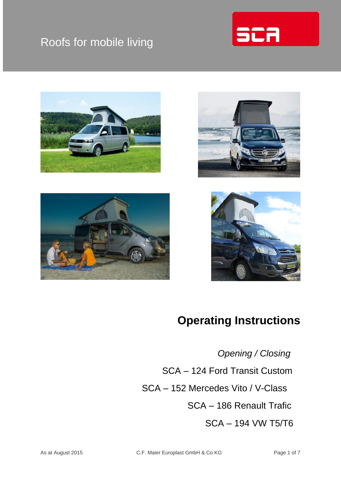## Roofs for mobile living











## **Operating Instructions**

 *Opening / Closing* SCA – 124 Ford Transit Custom SCA – 152 Mercedes Vito / V-Class

SCA – 186 Renault Trafic

SCA – 194 VW T5/T6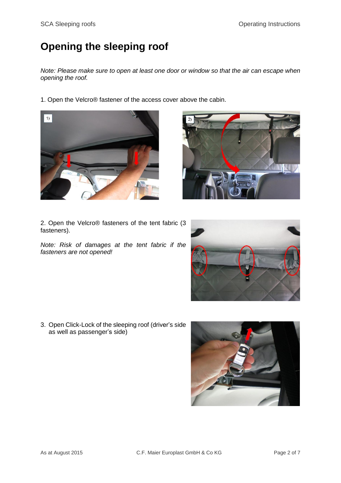## **Opening the sleeping roof**

*Note: Please make sure to open at least one door or window so that the air can escape when opening the roof.*

1. Open the Velcro® fastener of the access cover above the cabin.





2. Open the Velcro® fasteners of the tent fabric (3 fasteners).

*Note: Risk of damages at the tent fabric if the fasteners are not opened!*



3. Open Click-Lock of the sleeping roof (driver's side as well as passenger's side)

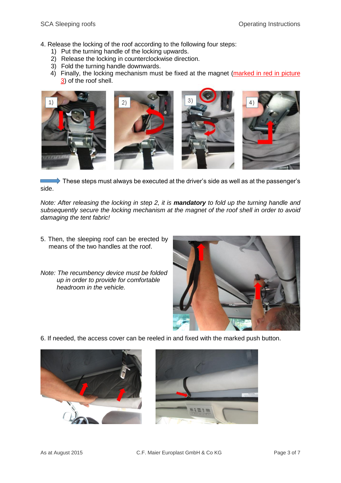4. Release the locking of the roof according to the following four steps:

- 1) Put the turning handle of the locking upwards.
- 2) Release the locking in counterclockwise direction.
- 3) Fold the turning handle downwards.
- 4) Finally, the locking mechanism must be fixed at the magnet (marked in red in picture 3) of the roof shell.



These steps must always be executed at the driver's side as well as at the passenger's side.

*Note: After releasing the locking in step 2, it is mandatory to fold up the turning handle and subsequently secure the locking mechanism at the magnet of the roof shell in order to avoid damaging the tent fabric!*

- 5. Then, the sleeping roof can be erected by means of the two handles at the roof.
- *Note: The recumbency device must be folded up in order to provide for comfortable headroom in the vehicle.*



6. If needed, the access cover can be reeled in and fixed with the marked push button.



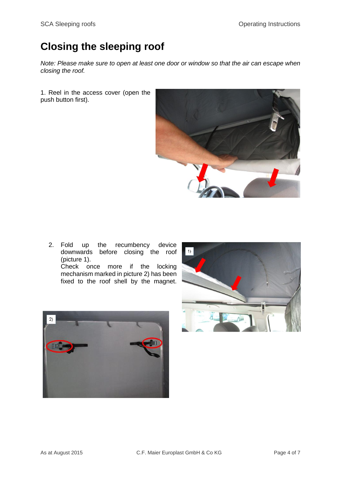## **Closing the sleeping roof**

*Note: Please make sure to open at least one door or window so that the air can escape when closing the roof.*

1. Reel in the access cover (open the push button first).



2. Fold up the recumbency device downwards before closing the roof (picture 1). Check once more if the locking mechanism marked in picture 2) has been fixed to the roof shell by the magnet.



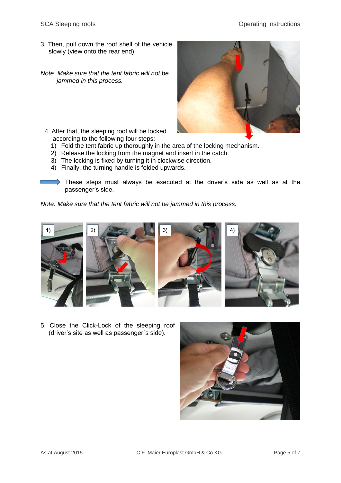- 3. Then, pull down the roof shell of the vehicle slowly (view onto the rear end).
- *Note: Make sure that the tent fabric will not be jammed in this process.*



- 4. After that, the sleeping roof will be locked according to the following four steps:
	- 1) Fold the tent fabric up thoroughly in the area of the locking mechanism.
	- 2) Release the locking from the magnet and insert in the catch.
	- 3) The locking is fixed by turning it in clockwise direction.
	- 4) Finally, the turning handle is folded upwards.

These steps must always be executed at the driver's side as well as at the passenger's side.

*Note: Make sure that the tent fabric will not be jammed in this process.*



5. Close the Click-Lock of the sleeping roof (driver's site as well as passenger`s side).

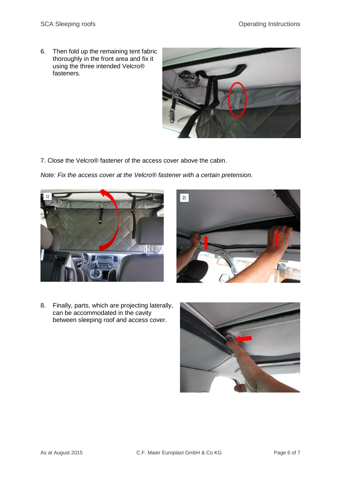6. Then fold up the remaining tent fabric thoroughly in the front area and fix it using the three intended Velcro® fasteners.



7. Close the Velcro® fastener of the access cover above the cabin.

*Note: Fix the access cover at the Velcro® fastener with a certain pretension.*





8. Finally, parts, which are projecting laterally, can be accommodated in the cavity between sleeping roof and access cover.